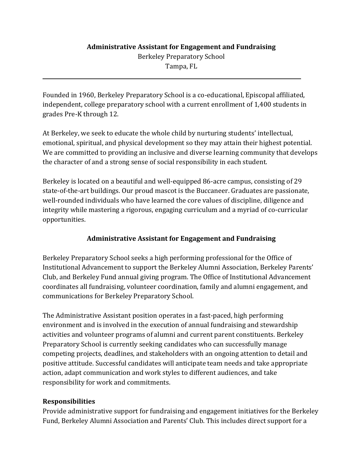## **Administrative Assistant for Engagement and Fundraising** Berkeley Preparatory School

Tampa, FL

Founded in 1960, Berkeley Preparatory School is a co-educational, Episcopal affiliated, independent, college preparatory school with a current enrollment of 1,400 students in grades Pre-K through 12.

At Berkeley, we seek to educate the whole child by nurturing students' intellectual, emotional, spiritual, and physical development so they may attain their highest potential. We are committed to providing an inclusive and diverse learning community that develops the character of and a strong sense of social responsibility in each student.

Berkeley is located on a beautiful and well-equipped 86-acre campus, consisting of 29 state-of-the-art buildings. Our proud mascot is the Buccaneer. Graduates are passionate, well-rounded individuals who have learned the core values of discipline, diligence and integrity while mastering a rigorous, engaging curriculum and a myriad of co-curricular opportunities.

# **Administrative Assistant for Engagement and Fundraising**

Berkeley Preparatory School seeks a high performing professional for the Office of Institutional Advancement to support the Berkeley Alumni Association, Berkeley Parents' Club, and Berkeley Fund annual giving program. The Office of Institutional Advancement coordinates all fundraising, volunteer coordination, family and alumni engagement, and communications for Berkeley Preparatory School.

The Administrative Assistant position operates in a fast-paced, high performing environment and is involved in the execution of annual fundraising and stewardship activities and volunteer programs of alumni and current parent constituents. Berkeley Preparatory School is currently seeking candidates who can successfully manage competing projects, deadlines, and stakeholders with an ongoing attention to detail and positive attitude. Successful candidates will anticipate team needs and take appropriate action, adapt communication and work styles to different audiences, and take responsibility for work and commitments.

## **Responsibilities**

l

Provide administrative support for fundraising and engagement initiatives for the Berkeley Fund, Berkeley Alumni Association and Parents' Club. This includes direct support for a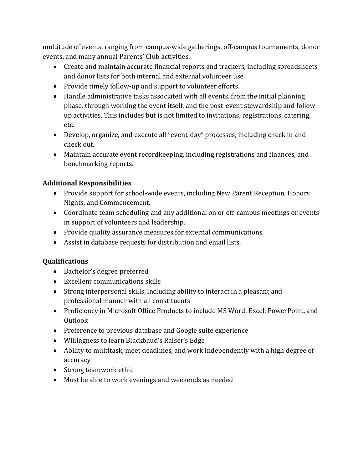multitude of events, ranging from campus-wide gatherings, off-campus tournaments, donor events, and many annual Parents' Club activities.

- Create and maintain accurate financial reports and trackers, including spreadsheets and donor lists for both internal and external volunteer use.
- Provide timely follow-up and support to volunteer efforts.
- Handle administrative tasks associated with all events, from the initial planning phase, through working the event itself, and the post-event stewardship and follow up activities. This includes but is not limited to invitations, registrations, catering, etc.
- Develop, organize, and execute all "event-day" processes, including check in and check out.
- Maintain accurate event recordkeeping, including registrations and finances, and benchmarking reports.

## **Additional Responsibilities**

- Provide support for school-wide events, including New Parent Reception, Honors Nights, and Commencement.
- Coordinate team scheduling and any additional on or off-campus meetings or events in support of volunteers and leadership.
- Provide quality assurance measures for external communications.
- Assist in database requests for distribution and email lists.

## **Qualifications**

- Bachelor's degree preferred
- Excellent communications skills
- Strong interpersonal skills, including ability to interact in a pleasant and professional manner with all constituents
- Proficiency in Microsoft Office Products to include MS Word, Excel, PowerPoint, and Outlook
- Preference to previous database and Google suite experience
- Willingness to learn Blackbaud's Raiser's Edge
- Ability to multitask, meet deadlines, and work independently with a high degree of accuracy
- Strong teamwork ethic
- Must be able to work evenings and weekends as needed